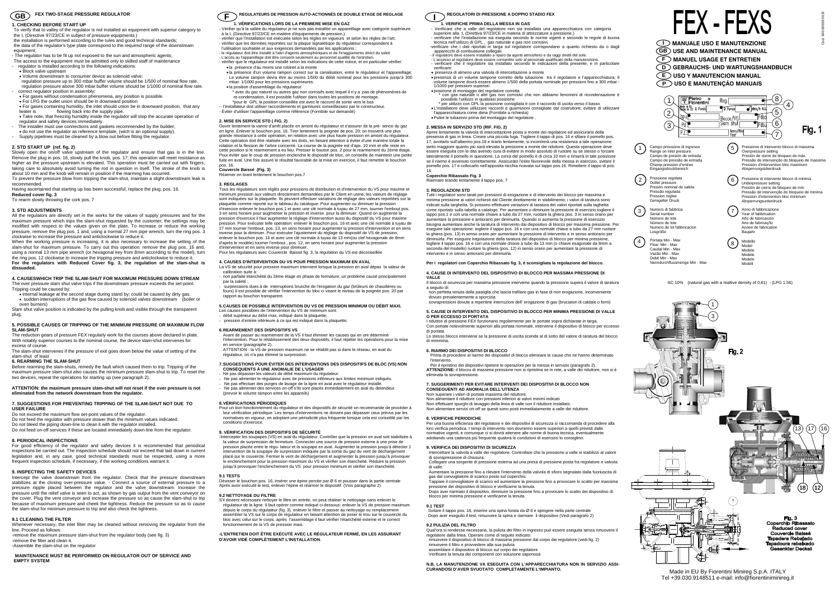<sup>−</sup>To verify that to valley of the regulator is not installed an equipment with superior category to the I, (Directive 97/23/CE in subject of pressure equipments.) the installation is performed according to the rules and good technical standards;

# **1. CHECKING BEFORE START UP**

the data of the regulator's type plate correspond to the required range of the downstream equipment;

- The regulator has to be fit up not exposed to the sun and atmospheric agents;

• For gases containing humidity, the inlet should union be in downward position, that any lwater is flowing back into the supply pipe.<br>• Take note, that freezing humidity inside the regulator will stop the accurate operation of

- <sup>−</sup>The access to the equipment must be admitted only to skilled staff of maintenance regulator is installed according to the following indications:
- Block valve upstream
- Volume downstream to consumer device as solenoid valve:

 regulation pressure up to 300 mbar buffer volume should be 1/500 of nominal flow rate. regulation pressure above 300 mbar buffer volume should be 1/1000 of nominal flow rate - correct regulator position in assembly:

• For gases without condensation phenomena, any position is possible.

• For LPG the outlet union should be in downward position

regulator and safety devices immediately. - The installer must use connections and gaskets recommended by the builder;

- 
- do not use the regulator as reference template, (wich is an optional supply). Supply pipelines must be cleaned by a blow out before fitting the regulator.

# **2. STD START UP (ref. fig. 2)**

- The over pressure slam shut valve trips if the downstream pressure exceeds the set-point. Tripping could be caused by:
- internal leakage at the second stage during stand by; could be caused by dirty gas. • sudden interruptions of the gas flow caused by solenoid valves downstream (boiler or oven burners)

Slam shut valve position is indicated by the pulling knob and visible through the transparent plug.

Slowly open the on/off valve upstream of the regulator and ensure that gas is in the line. Remove the plug in pos. 16, slowly pull the knob, pos. 17; this operation will meet resistance as higher as the pressure upstream is elevated. This operation must be carried out with fingers, taking care to absolutely avoid turning the rod in question in itself. The stroke of the knob is about 10 mm and the knob will remain in position if the rearming has occurred. To prevent the pressure blow from tripping the slam-shut, maintain a slight downstream leak is

#### **ATTENTION: the maximum pressure slam-shut will not reset if the over pressure is not**  ated from the network downstream from the regulator

recommended*.* Having ascertained that starting up has been successful, replace the plug, pos. 16.

**Reduced cover fig. 3** 

To rearm slowly throwing the cork pos. 7

#### **3. STD ADJUSTMENTS**

 All the regulators are directly set in the works for the values of supply pressures and for the maximum pressure which trips the slam-shut requested by the customer; the settings may be modified with respect to the values given on the plate. To increase or reduce the working pressure, remove the plug pos. 1 and, using a normal 27 mm pipe wrench, turn the ring pos. 3 clockwise to increase the pressure and anticlockwise to reduce it.

When the working pressure is increasing, it is also necessary to increase the setting of the slam-shut for maximum pressure. To carry out this operation: remove the plug pos. 16 and, using a normal 13 mm pipe wrench (or hexagonal key from 8mm according to the model), turn the ring pos. 12 clockwise to increase the tripping pressure and anticlockwise to reduce it. **For the regulators with Reduced Cover fig. 3, the regulation of the slam-shut is dissuaded.** 

# **4. CAUSESWHICH TRIP THE SLAM-SHUT FOR MAXIMUM PRESSURE DOWN STREAM**

 • presenza di almeno una valvola di intercettazione a monte • presenza di un volume tampone corretto della tubazione tra il regolatore e l'apparecchiatura; Il volume tampone dovrà essere almeno 1/500 della portata nominale per pressioni fino a 300 mbar.-<br>1/1000 per pressioni superiori

# **5. POSSIBLE CAUSES OF TRIPPING OF THE MINIMUM PRESSURE OR MAXIMUM FLOW SLAM-SHUT**

 The reduction gears of pressure FEX regularly work for the courses above declared in plate. With notably superior courses to the nominal course, the device slam-shut intervenes for excess of course.

 The slam-shut intervenes if the pressure of exit goes down below the value of setting of the slam-shut of least

#### **6. REARMING THE SLAM-SHUT**

 Before rearming the slam-shuts, remedy the fault which caused them to trip. Tripping of the maximum pressure slam-shut also causes the minimum pressure slam-shut to trip. To reset the two devices, repeat the operations for starting up (see paragraph 2).

#### **7. SUGGESTIONS FOR PREVENTING TRIPPING OF THE SLAM-SHUT NOT DUE TO USER FAILURE**

Do not exceed the maximum flow set-point values of the regulator.

- Do not feed the regulator with pressure slower than the minimum values indicated.
- Do not bleed the piping down-line to clean it with the regulator installed.
- Do not feed on-off services if these are located immediately down-line from the regulator.

# **8. PERIODICAL INSPECTIONS**

 For good efficiency of the regulator and safety devices it is recommended that periodical inspections be carried out. The inspection schedule should not exceed that laid down in current legislation and, in any case, good technical standards must be respected, using a more frequent inspection schedule, if necessary, if the working conditions warrant it.

# **9. INSPECTING THE SAFETY DEVICES**

 Intercept the valve downstream from the regulator. Check that the pressure downstream stabilizes at the closing over-pressure value. - Connect a source of external pressure to a pressure nipple placed between the regulator and the valve downstream. Increase the pressure until the relief valve is seen to act, as shown by gas output from the vent conveyor on the cover. Plug the vent conveyor and increase the pressure so as cause the slam-shut to trip because of maximum pressure and cheek the tightness. Reduce the pressure so as to cause the slam-shut for minimum pressure to trip and also check the tightness.

# **9.1 CLEANING THE FILTER**

Whenever necessary, the inlet filter may be cleaned without removing the regulator from the line. Proceed as follows: -remove the maximum pressure slam-shut from the regulator body (see fig. 3)

-remove the filter and clean it.

-Assemble the slam-shut on the regulator

### **MAINTENANCE MUST BE PERFORMED ON REGULATOR OUT OF SERVICE AND EMPTY SYSTEM**

**GB**  $\subset$  **F**  $\subset$  **F**  $\subset$  **F**  $\subset$  **F**  $\subset$  **F**  $\subset$  **F**  $\subset$  **REGOLATORIS DE PRESSION AUTO-ACTIONNES DE DOUBLE ETAGE DE REGLAGE**  $\subset$  **<b>I**  $\subset$  **REGOLATORI DI PRESSIONE A DOPPIO STADIO FEX F** REGULATEURS DE PRESSION AUTO-ACTIONNÉS DE DOUBLE ETAGE DE REGLAGE<br>1. VÉRIFICATIONS LORS DE LA PREMIERE MISE EN GAZ

# **1. VERIFICHE PRIMA DELLA MESSA IN GAS**

- Verificare che a valle del regolatore non sia installata una apparecchiatura con categoria superiore alla I, (Direttiva 97/23/CE in materia di attrezzature a pressione.)
- verificare che l'installazione sia eseguita secondo le norme vigenti e secondo le regole di buona
- tecnica nell'utilizzo di GPL , gas naturale e gas non corrosivi. -verificare che i dati riportati in targa sul regolatore corrispondano a quanto richiesto da o dagli apparecchi di combustione collegati.
- 
- Il regolatore deve essere installato a riparo da agenti atmosferici e da raggi diretti del sole. L'accesso al regolatore deve essere consentito solo al personale qualificato della manutenzione.
- verificare che il regolatore sia installato secondo le indicazioni della presente, e in particolare verificare:
- l'utilisation souhaitée et aux exigences demandées par les applications ;<br>- le régulateur doit être installé à l'abri d'agents atmosphériques et de l'irraggiamento direct du soleil.<br>- L'accès au l'appareillage doit être c
- vérifier que le régulateur est installé selon les indications de cette notice, et en particulier vérifier: • la présence d'au moins une robinet a la monte
- la présence d'un volume tampon correct sur la canalisation, entre le régulateur et l'appareillage; Le volume tampon devra être au moins 1/500 du débit nominal pour les pressions jusqu'à 300 mbar. 1/1000 pour les pressions supérieures.
- la position d'assemblage du régulateur
	- \* avec du gaz naturel ou autres gaz non corrosifs avec lequel il n'y a pas de phénomènes de re-condensation, il est possible l'utiliser dans toutes les positions de montage.
- \*pour le GPL la position conseillée est avec le raccord de sortie vers le bas -· I'installateur doit utiliser raccordements et garnitures conseillassiez par le constructeur.
- Éviter d'utiliser l'appareillage comme référence (Fornibile sur demandè)

• L'installatore deve utilizzare raccordi e guarnizioni consigliate dal costruttore; evitare di utilizzare l'apparecchiatura come dima (Fornibile a richiesta) • Pulire le tubazioni prima del montaggio del regolatore .

**2. MESSA IN SERVIZIO STD (RIF. FIG. 2)** 

Aprire lentamente la valvola di intercettazione posta a monte dei regolatore ed assicurarsi della presenza di gas in linea. Creare una piccola fuga. Togliere il tappo di pos. 16 e sfilare il pomello pos. 17, avvitarlo sull'alberino pos.18 e tirarlo lentamente; si incontrerà una resistenza a tale operazione tanto maggiore quanto più sarà elevata la pressione a monte dei riduttore. Questa operazione deve essere eseguita con le dita avendo cura di evitare in modo assoluto di ruotare su se stesso o forzare lateralmente il pomello in questione. La corsa del pomello è di circa 10 mm e rimarrà in tale posizione se il riarmo è avvenuto correttamente. Assicurato l'esito favorevole della messa in esercizio, svitare il pomello pos. 17 e collocarlo nell'apposita nicchia ricavata sul tappo pos.16. Rimettere il tappo di pos.

16.

 **Coperchio Ribassato Fig. 3**  Riarmare tirando lentamente il tappo pos. 7

**3. REGOLAZIONI STD** 

Les causes possibles de l'intervention du VS de minimum sont: débit supérieur au débit rnax. indiqué dans la plaquette

pression d'entrée inférieure à ce qui est indiqué dans la plaquette

.<br>L'intervention. Pour le rétablissement de la VS il faut éliminer les causes qui en ont déterminé<br>l'intervention. Pour le rétablissement des deux dispositifs, il faut répéter les opérations pour la mise en service (paragraphe 2).

 Tutti i regolatori sono tarati per pressioni di erogazione e di intervento dei blocco per massima e minima pressione ai valori richiesti dal Cliente direttamente in stabilimento; i valori di taratura sono indicati sulla targhetta. Si possono effettuare variazioni di taratura dei valori riportati sulla taghetta come riportato sulla tabella a catalogo. Per aumentare o diminuire la pressione di esercizio togliere il tappo pos.1 e con una normale chiave a tubo da 27 rnm, ruotare la ghiera pos. 3 in senso orario per aumentare la pressione e antiorario per diminuirla. Quando si aumenta la pressione di esercizio bisogna aumentare anche la taratura di intervento dai dispositivo di blocco per massima pressione. Per eseguire tale operazione: togliere il tappo pos. 16 e con una normale chiave a tubo da 27 mm ruotare la ghiera (pos. 13) in senso orario per aumentare la pressione di intervento e in senso antiorario per diminuirla. Per eseguire lregolazione della taratura del dispositivo di blocco per minima pressione, togliere il tappo pos. 16 e con una normale chiave a tubo da 13 mm (o chiave esagonale da 8mm a seconda del modello) ruotare la ghiera (pos. 12) in senso orario per aumentare la pressione di

intervento e in senso antiorario per diminuirla.

**Per i regolatori con Coperchio Ribassato fig. 3, è sconsigliata la regolazione del blocco. 4. CAUSE DI INTERVENTO DEL DISPOSITIVO DI BLOCCO PER MASSIMA PRESSIONE DI** 

**VALLE** 

Il blocco di sicurezza per massima pressione interviene quando la pressione supera il valore di taratura

a seguito di:

<sup>−</sup>non perfetta tenuta della pastiglia che lascia trafilare gas in fase di non erogazione, inconveniente

dovuto prevalentemente a sporcizia

<sup>−</sup>sovrapressioni dovute a repentine interruzioni dell' erogazione di gas (bruciatori di caldaie o forni) **5. CAUSE DI INTERVENTO DEL DISPOSITIVO DI BLOCCO PER MINIMA PRESSIONE DI VALLE** 

**O PER ECCESSO DI PORTATA** 

ata la sovrapressione

 I riduttori di pressione FEX funzionano regolarmente per le portate sopra dichiarate in targa. Con portate notevolmente superiori alla portata nominale, interviene il dispositivo di blocco per eccesso

di portata.

Lo stesso blocco interviene se la pressione di uscita scende al di sotto del valore di taratura del blocco

di mimnima.

**6. RIARMO DEI DISPOSITIVI DI BLOCCO** 

<sup>−</sup>Prima di procedere al riarmo dei dispositivI di blocco eliminare le cause che ne hanno determinato

l'intervento.

- 
- 1/1000 per pressioni superiori.<br>• posizione di montaggio del regolatore corretta<br>\* con gas naturale o altri gas non corrosivi che non abbiamo fenomeni di ricondensazione è<br>possibile l'utilizzo in qualsiasi posizione per utilizzo con GPL la posizione consigliata è con il raccordo di uscita verso il basso

 <sup>−</sup>Per il ripristino dei dispositivi ripetere le operazioni per la messa in servizio (paragrafo 2). **ATTENZIONE:** il blocco di massima pressione non si ripristina se in rete, a valle dei riduttore, non si è

**7. SUGGERIMENTI PER EVITARE INTERVENTI DEI DISPOSITIVI DI BLOCCO NON** 

**CONSEGUENTI AD ANOMALIA DELL'UTENZA** 

Non superare i valori di portata massima del riduttore. Non alimentare il riduttore con pressioni inferiori ai valori minimi indicati. Non effettuare spurghi di lavaggio della linea di valle con il riduttore installato. Non alimentare servizi on-off se questi sono posti immediatamente a valle dei riduttore.

**8. VERIFICHE PERIODICHE** 

 Per una buona efficienza del regolatore e dei dispositivi di sicurezza si raccomanda di procedere alla loro verifica periodica. I tempi di intervento non dovranno essere superiori a quelli previsti dalle normative vigenti, e comunque ci si dovrà attenere alle norme di buona tecnica, eventualmente adottando una cadenza più frequente qualora le condizioni di esercizio lo consiglino.

**9. VERIFICA DEI DISPOSITIVI DI SICUREZZA** 

<sup>−</sup>Intercettare la valvola a valle dei regolatore. Controllare che la pressione a valle si stabilizzi al valore

di sovrapressione di chiusura.

<sup>−</sup>Collegare una sorgente di pressione esterna ad una presa di pressione posta fra regolatore e valvola

di valle.

<sup>−</sup>Aumentare la pressione fino a rilevare l'intervento della valvola di sfioro segnalato dalla fuoriuscita di

gas dal convogliatore di scarico posto sul coperchio.

<sup>−</sup>Tappare il convogliatore di scarico ed aumentare la pressione fino a provocare lo scatto per massima

pressione dei dispositivo di blocco e verificarne la tenuta

<sup>−</sup>Dopo aver riarmato il dispositivo, diminuire la pressione fino a provocare lo scatto dei dispositivo di blocco per minima pressione e verificarne la tenuta.

**9.1 TEST** 

 <sup>−</sup>Svitare il tappo pos. 16, inserire una spina forata da Ø 6 e spingere nella parte centrale <sup>−</sup>Dopo aver eseguito il test, rimuovere la spina e riarmare il dispositivo (Vedi paragrafo 2)

**9.2 PULIZIA DEL FILTRO** 

Qual'ora si rendesse necessaria, la pulizia dei filtro in ingresso può essere eseguita senza rimuovere il

regolatore dalla linea. Operare come di seguito indicato:

<sup>−</sup>rimuovere il dispositivo di blocco di massima pressione dal corpo dei regolatore (vedi fig. 2)

<sup>−</sup>rimuovere il filtro e provvedere alla sua pulizia <sup>−</sup>assemblare il dispositivo di blocco sul corpo dei regolatore <sup>−</sup>Verificare la tenuta dei componenti con soluzione saponosa

**N.B. LA MANUTENZIONE VA ESEGUITA CON L'APPARECCHIATURA NON IN SERVIZIO ASSI-**

**CURANDOSI D'AVER SVUOTATO COMPLETAMENTE L'IMPIANTO.**

# **2. MISE EN SERVICE STD ( FIG. 2)**

Ouvrir lentement la vanne d'arrêt placée en amont du régulateur et s'assurer de la pré- sence du gaz en ligne. Enlever le bouchon pos. 16. Tirer lentement la poignée de pos. 20; on trouverà une plus grande résistance à cette opération, en relation avec une plus haute pression en amont du régulateur. Cette opération doit être réalisée avec les doits, en faisant attention à éviter d'une manière totale la rotation et la flession de l'arbre concerné. La course de la poignée est d'apx. 10 rnm et elle reste en cette position si le rearmement a eu lieu. Presser le bouton pos. 2 pour le rearmement du 2èrne étage. Pour éviter que le coup de pression enclenche le dispositif de bloc, on conseille de maintenir une petite fuite en aval. Une fois assuré le résultat favorable de la mise en exercice, il faut remettre le bouchon

#### pos. 16. **Couvercle Baissé (Fig. 3)**

Réarmer en tirant lentement le bouchon pos.7

#### **3. REGLAGES**

 Tous les régulateurs sont réglés pour pressions de distribution et d'intervention du VS pour maxime et minimum pression aux valeurs directement demandées par le Client en usine; les valeurs de réglage sont indiquées sur la plaquette. Ils peuvent effectuer variations de réglage des valeurs reportées sur la plaquette comme reporté sur le tableau du catalogue. Pour augmenter ou diminuer la pression d'exercice enlever le bouchon pos.1 et avec une clé normale à tuyau de 27 mm, tourner l'embout pos. 3 en sens horaire pour augmenter la pression et inverse pour la diminuer. Quand on augmente la pression d'exercice il faut augmenter le réglage d'intervention aussi du dispositif du VS pour maxime pression. Pour exécuter telle opération: enlever le bouchon pos. 16 et avec une clé normale à tuyau de 27 mm tourner l'embout, pos. 13, en sens horaire pour augmenter la pression d'intervention et en sens inverse pour la diminuer. Pour exécuter l'ajustement du réglage du dispositif de VS de pression, enlever le bouchon pos. 16 et avec une clé normale à tuyau de 13 mm(ou clef hexagonale de 8mm d'après le modèle) tourner l'embout , pos. 12, en sens horaire pour augmenter la pression d'intervention et en sens inverse pour diminuer.

Pour les régulateurs avec Couvercle Baissé fig. 3, la régulation du VS est déconseillée



# **4. CAUSES D'INTERVENTION DU VS POUR PRESSION MAXIMUM EN AVAL**

 La VS de sécurité pour pression maximum intervient lorsque la pression en aval dépas la valeur de calibration suite à: - non parfaite étanchéité du 2ème étage en phase de fermature, un problème causé principalement

- par la saleté ;
- surpressions dues à de interruptions brusche de l'érogation du gaz (brûleurs de chaudières ou fours) Il est possible de vérifier l'intervention du bloc ci visant le niveau de la poignée pos. 20 par rapport au bouchon transparent.

# **5. CAUSES DE POSSIBLE INTERVENTION DU VS DE PRESSION MINIMUM OU DÉBIT MAXI.**

#### **6. REARMEMENT DES DISPOSITIFS VS**

<sup>−</sup>ATTENTION : la VS de pression maximum ne se rétablit pas si dans le réseau, en aval du régulateur, on n'a pas éliminé la surpression.

### **7. SUGGESTIONS POUR ÉVITER DES INTERVENTIONS DES DISPOSITIFS DE BLOC (VS) NON CONSÉQUENTS À UNE ANOMALIE DE L'USAGER**

- Ne pas dépasser les valeurs de débit maximum du régulateur.
- Ne pas alimenter le régulateur avec de pressions inférieurs aux limites minimum indiqués. Ne pas effectuer des purges de lavage de la ligne en aval avec le régulateur installé.
- Ne pas alimenter des services on-off s'ils sont placés immédiatement en aval du detendeur. (prevoir le volume tampon entre les appareils)

#### **8. VÉRIFICATIONS PÉRIODIQUES**

Pour un bon foncitonnement du régulateur et des dispositifs de sécurité on recommande de procéder à leur vérification périodique. Les temps d'interventions ne doivent pas dépasser ceux prévus par les normatives en vigueur, en adoptant une périodicité plus fréquente lorsque cela est coriseililé par les conditions d'exercice.

#### **9. VÉRIFICATION DES DISPOSITIFS DE SÉCURITÉ**

 -Intercepter les soupapes (VS) en aval du régulateur. Contrôler que la pression en aval soit stabilisée à la valeur de surpression de fermeture. Connecter une source de pression externe à une prise de pression placée entre le régu- lateur et la soupape en aval. Augmenter la pression jusqu'à détecter 1 intervention de la soupape de surpression indiquée par la sortie du gaz du vent de déchargement<br>placé sur le couvercle. Fermer le vent de déchargement et augmenter la pression jusqu'à provoquer<br>le enclenchement pour la pre jusqu'à provoquer l'enclenchement du VS pour pression minimum et vérifier son étanchéité.

#### **9.1 TESTS**

 Dévisser le bouchon pos. 16, insérer une épine percée par Ø 6 et pousser dans la partie centrale Après avoir exécuté le test, enlever l'épine et réarmer le dispositif. (Vois paragraphe 2)

#### **9.2 NETTOYAGE DU FILTRE**

 S'il devient nécessaire nettoyer le filtre en entrée, on peut réaliser le nettoyage sans enlever le régulateur de la ligne. Il faut opérer comme indiqué ci-dessous: enlever la VS de pression maximum depuis le corps du régulateur (fig. 3). enlever le filtre et passer au nettoyage ou remplacement assembler la VS sur le corps de régulateur en faisant attention de poser le trou sur le couvercle du bloc avec celui sur le corps. après l'assemblage il faut vérifier l'étanchéité externe et le correct fonctionnement de la VS de pression maxi.

**-L'ENTRETIEN DOIT ÊTRE EXÉCUTÉ AVEC LE RÉGULATEUR FERMÉ, EN LES ASSURANT D'AVOIR VIDÉ COMPLÈTEMENT L'INSTALLATION**.

Made in EU By Fiorentini Minireg S.p.A. ITALY Tel +39.030.9148511 e-mail: info@fiorentiniminireg.it